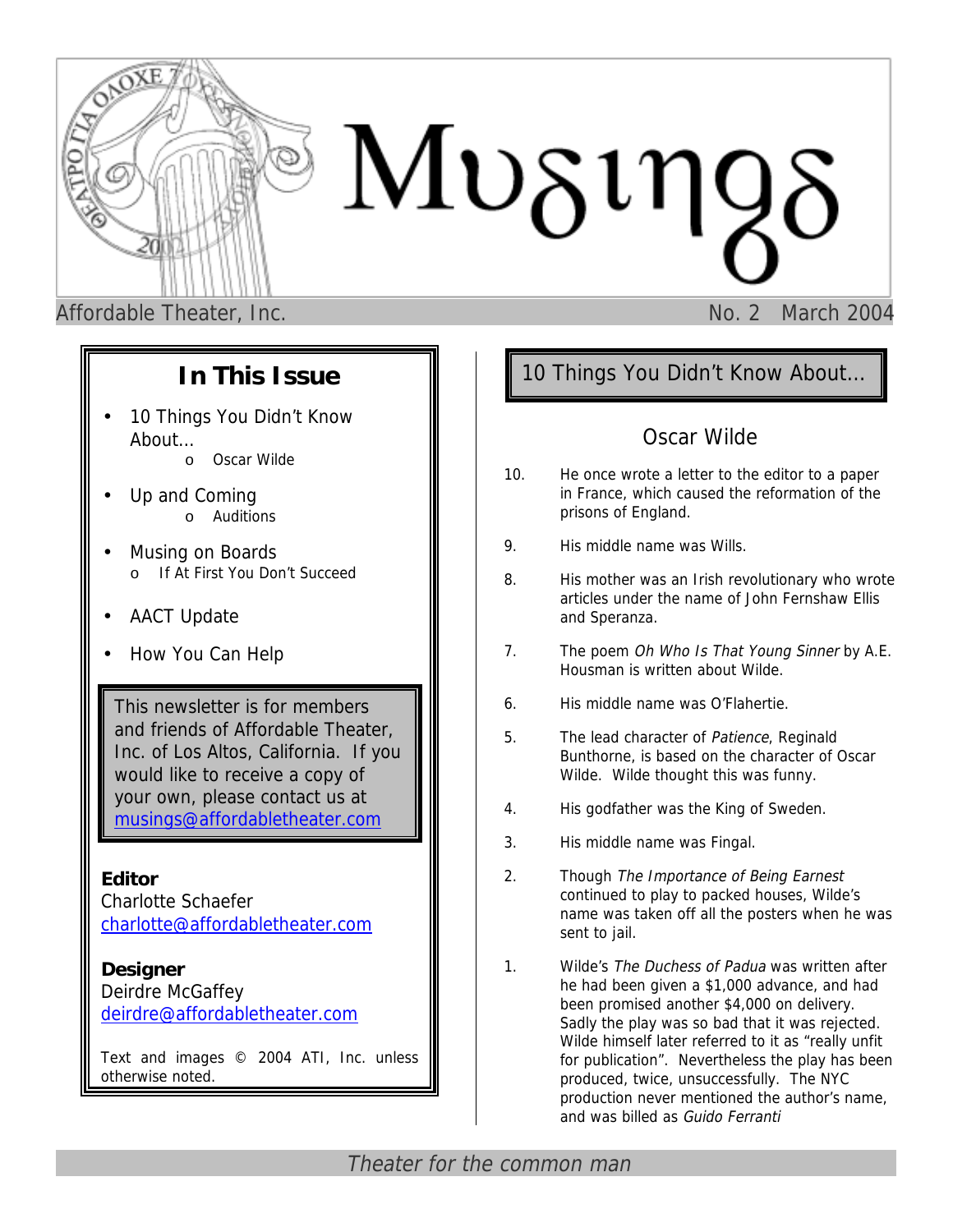

## **In This Issue**

- 10 Things You Didn't Know About…
	- o Oscar Wilde
- Up and Coming o Auditions
- Musing on Boards o If At First You Don't Succeed
- AACT Update
- How You Can Help

This newsletter is for members and friends of Affordable Theater, Inc. of Los Altos, California. If you would like to receive a copy of your own, please contact us at [musings@affordabletheater.com](mailto:musings@affordabletheater.com)

### **Editor**

Charlotte Schaefer c[harlotte@affordabletheater.com](mailto:charlotte@affordabletheater.com)

### **Designer**

Deirdre McGaffey d[eirdre@affordabletheater.com](mailto:deirdre@affordabletheater.com)

Text and images © 2004 ATI, Inc. unless otherwise noted.

# 10 Things You Didn't Know About…

## Oscar Wilde

- 10. He once wrote a letter to the editor to a paper in France, which caused the reformation of the prisons of England.
- 9. His middle name was Wills.
- 8. His mother was an Irish revolutionary who wrote articles under the name of John Fernshaw Ellis and Speranza.
- 7. The poem Oh Who Is That Young Sinner by A.E. Housman is written about Wilde.
- 6. His middle name was O'Flahertie.
- 5. The lead character of Patience, Reginald Bunthorne, is based on the character of Oscar Wilde. Wilde thought this was funny.
- 4. His godfather was the King of Sweden.
- 3. His middle name was Fingal.
- 2. Though The Importance of Being Earnest continued to play to packed houses, Wilde's name was taken off all the posters when he was sent to jail.
- 1. Wilde's The Duchess of Padua was written after he had been given a \$1,000 advance, and had been promised another \$4,000 on delivery. Sadly the play was so bad that it was rejected. Wilde himself later referred to it as "really unfit for publication". Nevertheless the play has been produced, twice, unsuccessfully. The NYC production never mentioned the author's name, and was billed as Guido Ferranti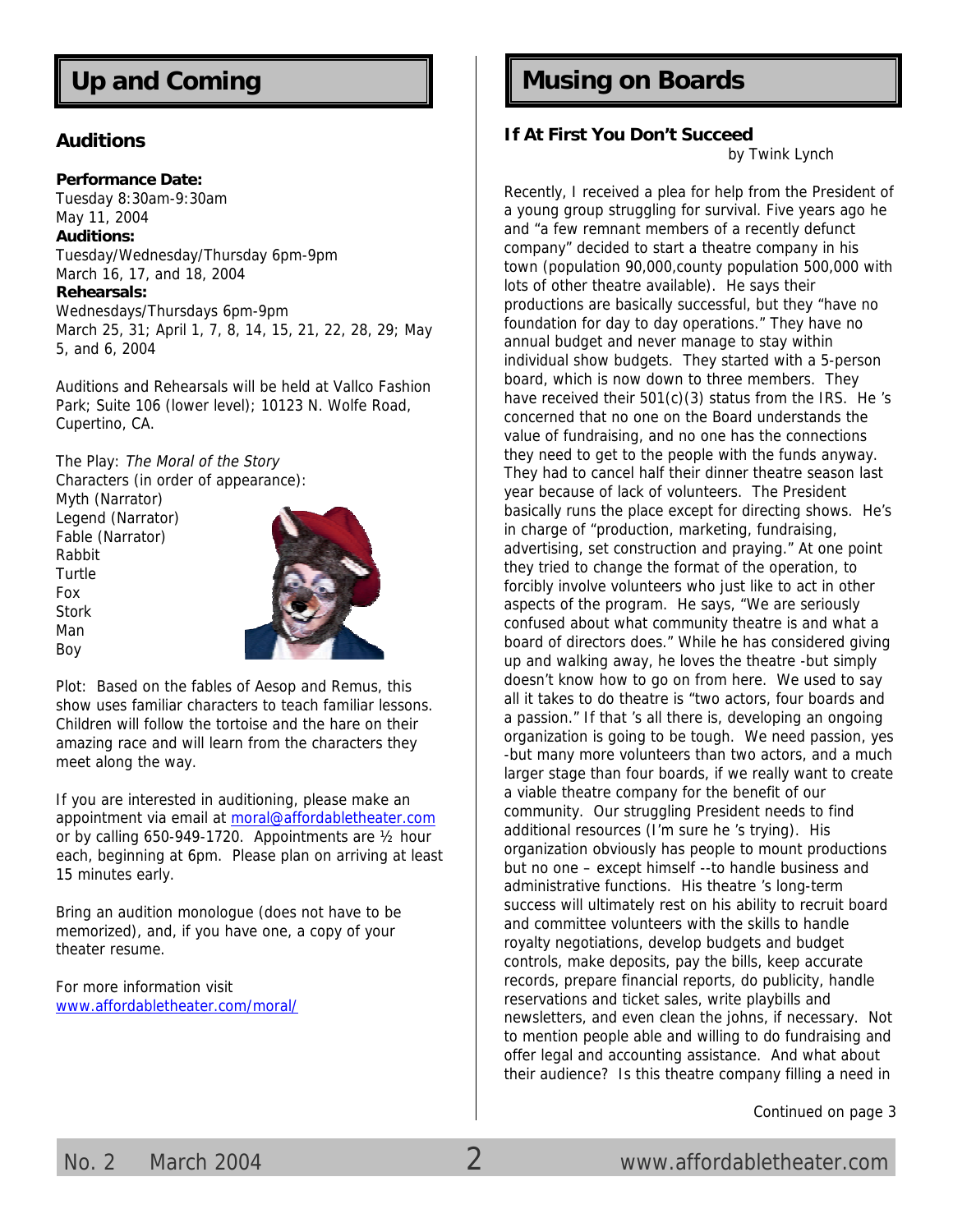#### **Auditions**

**Performance Date:**  Tuesday 8:30am-9:30am May 11, 2004 **Auditions:**  Tuesday/Wednesday/Thursday 6pm-9pm March 16, 17, and 18, 2004 **Rehearsals:**  Wednesdays/Thursdays 6pm-9pm March 25, 31; April 1, 7, 8, 14, 15, 21, 22, 28, 29; May 5, and 6, 2004

Auditions and Rehearsals will be held at Vallco Fashion Park; Suite 106 (lower level); 10123 N. Wolfe Road, Cupertino, CA.

The Play: The Moral of the Story Characters (in order of appearance):

Myth (Narrator) Legend (Narrator) Fable (Narrator) Rabbit Turtle Fox Stork Man Boy



Plot: Based on the fables of Aesop and Remus, this show uses familiar characters to teach familiar lessons. Children will follow the tortoise and the hare on their amazing race and will learn from the characters they meet along the way.

If you are interested in auditioning, please make an appointment via email a[t moral@affordabletheater.com](mailto:moral@affordabletheater.com) or by calling 650-949-1720. Appointments are ½ hour each, beginning at 6pm. Please plan on arriving at least 15 minutes early.

Bring an audition monologue (does not have to be memorized), and, if you have one, a copy of your theater resume.

For more information visit [www.affordabletheater.com/moral/](http://www.affordabletheater.com/moral/)

# Up and Coming **Music Communist Communist Communist Communist Communist Communist Communist Communist Communist Communist Communist Communist Communist Communist Communist Communist Communist Communist Communist Communist C**

#### **If At First You Don't Succeed**

by Twink Lynch

Recently, I received a plea for help from the President of a young group struggling for survival. Five years ago he and "a few remnant members of a recently defunct company" decided to start a theatre company in his town (population 90,000,county population 500,000 with lots of other theatre available). He says their productions are basically successful, but they "have no foundation for day to day operations." They have no annual budget and never manage to stay within individual show budgets. They started with a 5-person board, which is now down to three members. They have received their 501(c)(3) status from the IRS. He 's concerned that no one on the Board understands the value of fundraising, and no one has the connections they need to get to the people with the funds anyway. They had to cancel half their dinner theatre season last year because of lack of volunteers. The President basically runs the place except for directing shows. He's in charge of "production, marketing, fundraising, advertising, set construction and praying." At one point they tried to change the format of the operation, to forcibly involve volunteers who just like to act in other aspects of the program. He says, "We are seriously confused about what community theatre is and what a board of directors does." While he has considered giving up and walking away, he loves the theatre -but simply doesn't know how to go on from here. We used to say all it takes to do theatre is "two actors, four boards and a passion." If that 's all there is, developing an ongoing organization is going to be tough. We need passion, yes -but many more volunteers than two actors, and a much larger stage than four boards, if we really want to create a viable theatre company for the benefit of our community. Our struggling President needs to find additional resources (I'm sure he 's trying). His organization obviously has people to mount productions but no one – except himself --to handle business and administrative functions. His theatre 's long-term success will ultimately rest on his ability to recruit board and committee volunteers with the skills to handle royalty negotiations, develop budgets and budget controls, make deposits, pay the bills, keep accurate records, prepare financial reports, do publicity, handle reservations and ticket sales, write playbills and newsletters, and even clean the johns, if necessary. Not to mention people able and willing to do fundraising and offer legal and accounting assistance. And what about their audience? Is this theatre company filling a need in

Continued on page 3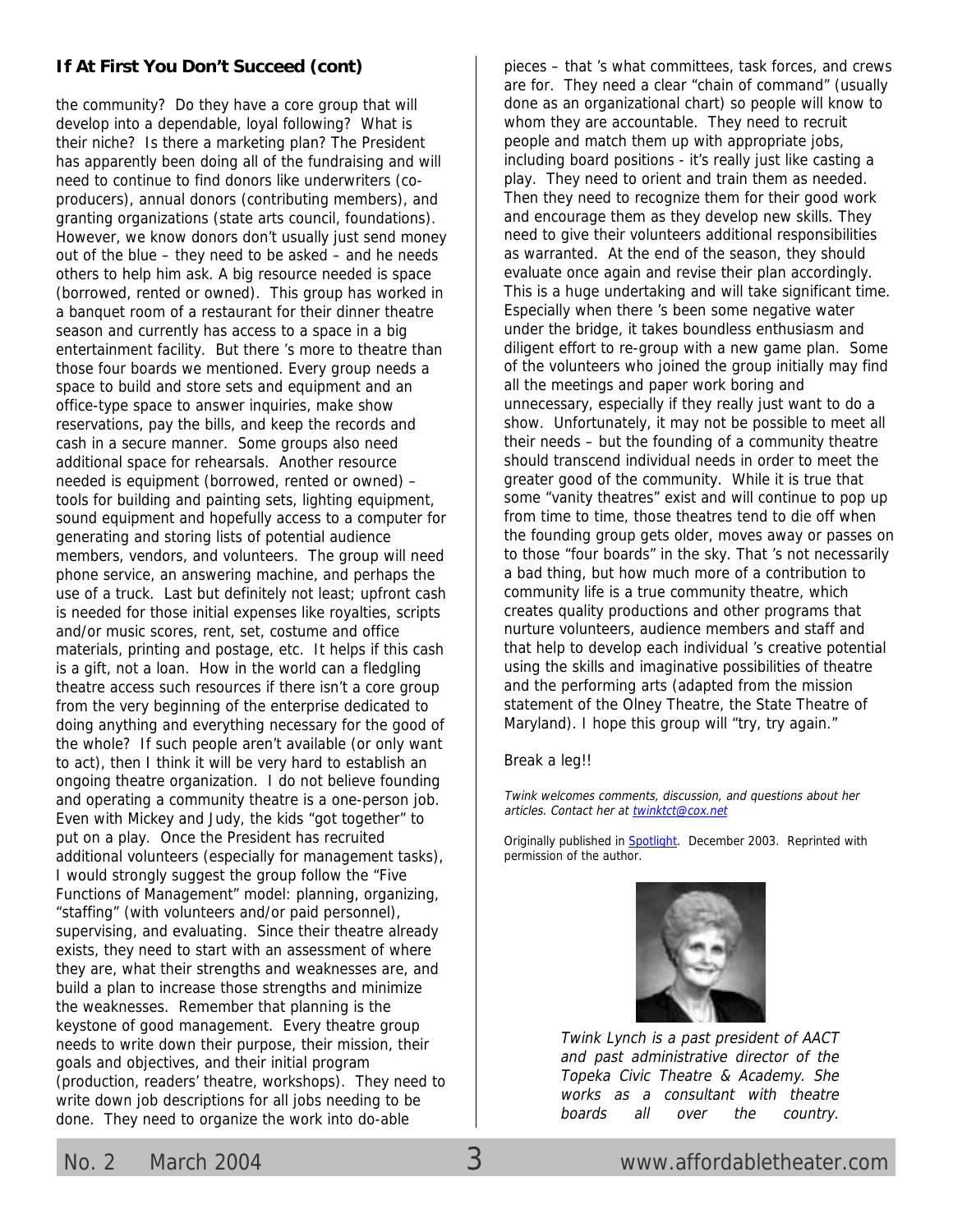### **If At First You Don't Succeed (cont)**

the community? Do they have a core group that will develop into a dependable, loyal following? What is their niche? Is there a marketing plan? The President has apparently been doing all of the fundraising and will need to continue to find donors like underwriters (coproducers), annual donors (contributing members), and granting organizations (state arts council, foundations). However, we know donors don't usually just send money out of the blue – they need to be asked – and he needs others to help him ask. A big resource needed is space (borrowed, rented or owned). This group has worked in a banquet room of a restaurant for their dinner theatre season and currently has access to a space in a big entertainment facility. But there 's more to theatre than those four boards we mentioned. Every group needs a space to build and store sets and equipment and an office-type space to answer inquiries, make show reservations, pay the bills, and keep the records and cash in a secure manner. Some groups also need additional space for rehearsals. Another resource needed is equipment (borrowed, rented or owned) – tools for building and painting sets, lighting equipment, sound equipment and hopefully access to a computer for generating and storing lists of potential audience members, vendors, and volunteers. The group will need phone service, an answering machine, and perhaps the use of a truck. Last but definitely not least; upfront cash is needed for those initial expenses like royalties, scripts and/or music scores, rent, set, costume and office materials, printing and postage, etc. It helps if this cash is a gift, not a loan. How in the world can a fledgling theatre access such resources if there isn't a core group from the very beginning of the enterprise dedicated to doing anything and everything necessary for the good of the whole? If such people aren't available (or only want to act), then I think it will be very hard to establish an ongoing theatre organization. I do not believe founding and operating a community theatre is a one-person job. Even with Mickey and Judy, the kids "got together" to put on a play. Once the President has recruited additional volunteers (especially for management tasks), I would strongly suggest the group follow the "Five Functions of Management" model: planning, organizing, "staffing" (with volunteers and/or paid personnel), supervising, and evaluating. Since their theatre already exists, they need to start with an assessment of where they are, what their strengths and weaknesses are, and build a plan to increase those strengths and minimize the weaknesses. Remember that planning is the keystone of good management. Every theatre group needs to write down their purpose, their mission, their goals and objectives, and their initial program (production, readers' theatre, workshops). They need to write down job descriptions for all jobs needing to be done. They need to organize the work into do-able

pieces – that 's what committees, task forces, and crews are for. They need a clear "chain of command" (usually done as an organizational chart) so people will know to whom they are accountable. They need to recruit people and match them up with appropriate jobs, including board positions - it's really just like casting a play. They need to orient and train them as needed. Then they need to recognize them for their good work and encourage them as they develop new skills. They need to give their volunteers additional responsibilities as warranted. At the end of the season, they should evaluate once again and revise their plan accordingly. This is a huge undertaking and will take significant time. Especially when there 's been some negative water under the bridge, it takes boundless enthusiasm and diligent effort to re-group with a new game plan. Some of the volunteers who joined the group initially may find all the meetings and paper work boring and unnecessary, especially if they really just want to do a show. Unfortunately, it may not be possible to meet all their needs – but the founding of a community theatre should transcend individual needs in order to meet the greater good of the community. While it is true that some "vanity theatres" exist and will continue to pop up from time to time, those theatres tend to die off when the founding group gets older, moves away or passes on to those "four boards" in the sky. That 's not necessarily a bad thing, but how much more of a contribution to community life is a true community theatre, which creates quality productions and other programs that nurture volunteers, audience members and staff and that help to develop each individual 's creative potential using the skills and imaginative possibilities of theatre and the performing arts (adapted from the mission statement of the Olney Theatre, the State Theatre of Maryland). I hope this group will "try, try again."

#### Break a leg!!

Twink welcomes comments, discussion, and questions about her articles. Contact her at [twinktct@cox.net](mailto:twinktct@cox.net) 

Originally published in [Spotlight](http://www.aact.org/). December 2003. Reprinted with permission of the author.



Twink Lynch is a past president of AACT and past administrative director of the Topeka Civic Theatre & Academy. She works as a consultant with theatre boards all over the country.